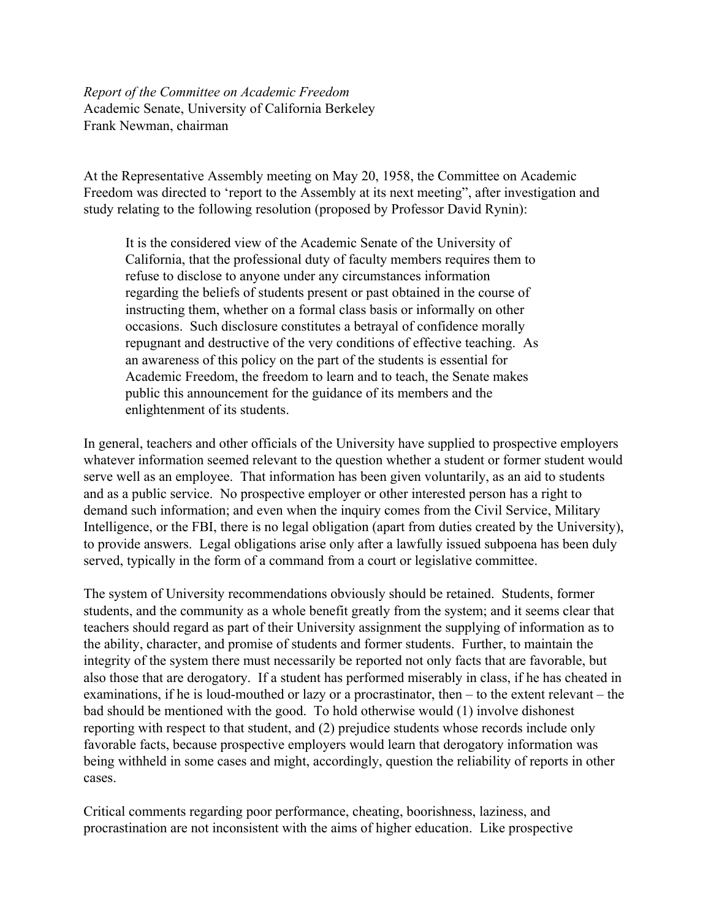*Report of the Committee on Academic Freedom* Academic Senate, University of California Berkeley Frank Newman, chairman

At the Representative Assembly meeting on May 20, 1958, the Committee on Academic Freedom was directed to 'report to the Assembly at its next meeting", after investigation and study relating to the following resolution (proposed by Professor David Rynin):

It is the considered view of the Academic Senate of the University of California, that the professional duty of faculty members requires them to refuse to disclose to anyone under any circumstances information regarding the beliefs of students present or past obtained in the course of instructing them, whether on a formal class basis or informally on other occasions. Such disclosure constitutes a betrayal of confidence morally repugnant and destructive of the very conditions of effective teaching. As an awareness of this policy on the part of the students is essential for Academic Freedom, the freedom to learn and to teach, the Senate makes public this announcement for the guidance of its members and the enlightenment of its students.

In general, teachers and other officials of the University have supplied to prospective employers whatever information seemed relevant to the question whether a student or former student would serve well as an employee. That information has been given voluntarily, as an aid to students and as a public service. No prospective employer or other interested person has a right to demand such information; and even when the inquiry comes from the Civil Service, Military Intelligence, or the FBI, there is no legal obligation (apart from duties created by the University), to provide answers. Legal obligations arise only after a lawfully issued subpoena has been duly served, typically in the form of a command from a court or legislative committee.

The system of University recommendations obviously should be retained. Students, former students, and the community as a whole benefit greatly from the system; and it seems clear that teachers should regard as part of their University assignment the supplying of information as to the ability, character, and promise of students and former students. Further, to maintain the integrity of the system there must necessarily be reported not only facts that are favorable, but also those that are derogatory. If a student has performed miserably in class, if he has cheated in examinations, if he is loud-mouthed or lazy or a procrastinator, then – to the extent relevant – the bad should be mentioned with the good. To hold otherwise would (1) involve dishonest reporting with respect to that student, and (2) prejudice students whose records include only favorable facts, because prospective employers would learn that derogatory information was being withheld in some cases and might, accordingly, question the reliability of reports in other cases.

Critical comments regarding poor performance, cheating, boorishness, laziness, and procrastination are not inconsistent with the aims of higher education. Like prospective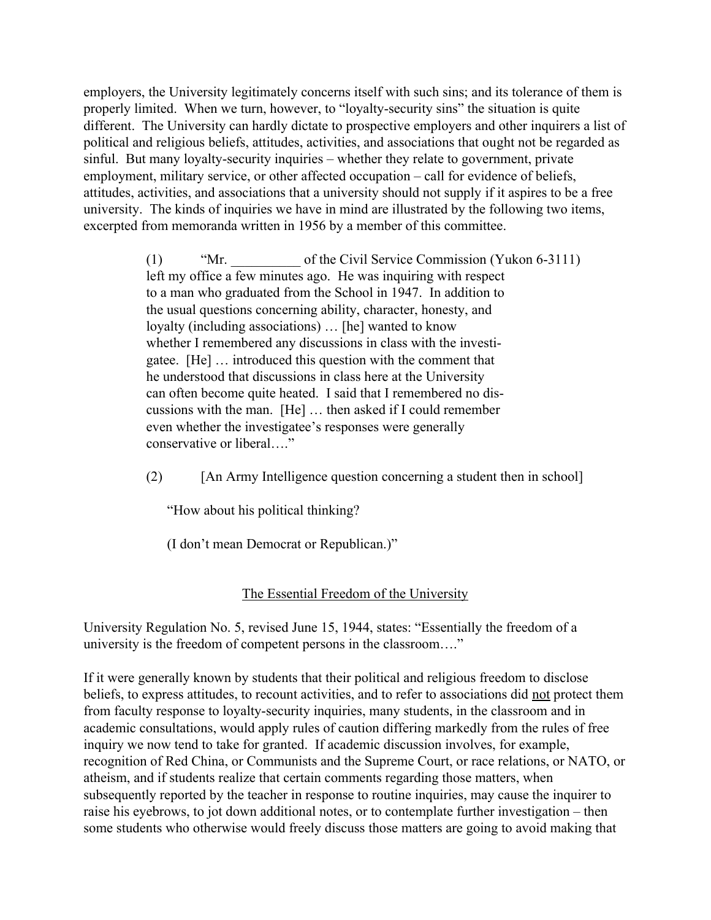employers, the University legitimately concerns itself with such sins; and its tolerance of them is properly limited. When we turn, however, to "loyalty-security sins" the situation is quite different. The University can hardly dictate to prospective employers and other inquirers a list of political and religious beliefs, attitudes, activities, and associations that ought not be regarded as sinful. But many loyalty-security inquiries – whether they relate to government, private employment, military service, or other affected occupation – call for evidence of beliefs, attitudes, activities, and associations that a university should not supply if it aspires to be a free university. The kinds of inquiries we have in mind are illustrated by the following two items, excerpted from memoranda written in 1956 by a member of this committee.

> (1) "Mr. of the Civil Service Commission (Yukon 6-3111) left my office a few minutes ago. He was inquiring with respect to a man who graduated from the School in 1947. In addition to the usual questions concerning ability, character, honesty, and loyalty (including associations) … [he] wanted to know whether I remembered any discussions in class with the investigatee. [He] … introduced this question with the comment that he understood that discussions in class here at the University can often become quite heated. I said that I remembered no discussions with the man. [He] … then asked if I could remember even whether the investigatee's responses were generally conservative or liberal…."

> (2) [An Army Intelligence question concerning a student then in school]

"How about his political thinking?

(I don't mean Democrat or Republican.)"

## The Essential Freedom of the University

University Regulation No. 5, revised June 15, 1944, states: "Essentially the freedom of a university is the freedom of competent persons in the classroom…."

If it were generally known by students that their political and religious freedom to disclose beliefs, to express attitudes, to recount activities, and to refer to associations did not protect them from faculty response to loyalty-security inquiries, many students, in the classroom and in academic consultations, would apply rules of caution differing markedly from the rules of free inquiry we now tend to take for granted. If academic discussion involves, for example, recognition of Red China, or Communists and the Supreme Court, or race relations, or NATO, or atheism, and if students realize that certain comments regarding those matters, when subsequently reported by the teacher in response to routine inquiries, may cause the inquirer to raise his eyebrows, to jot down additional notes, or to contemplate further investigation – then some students who otherwise would freely discuss those matters are going to avoid making that